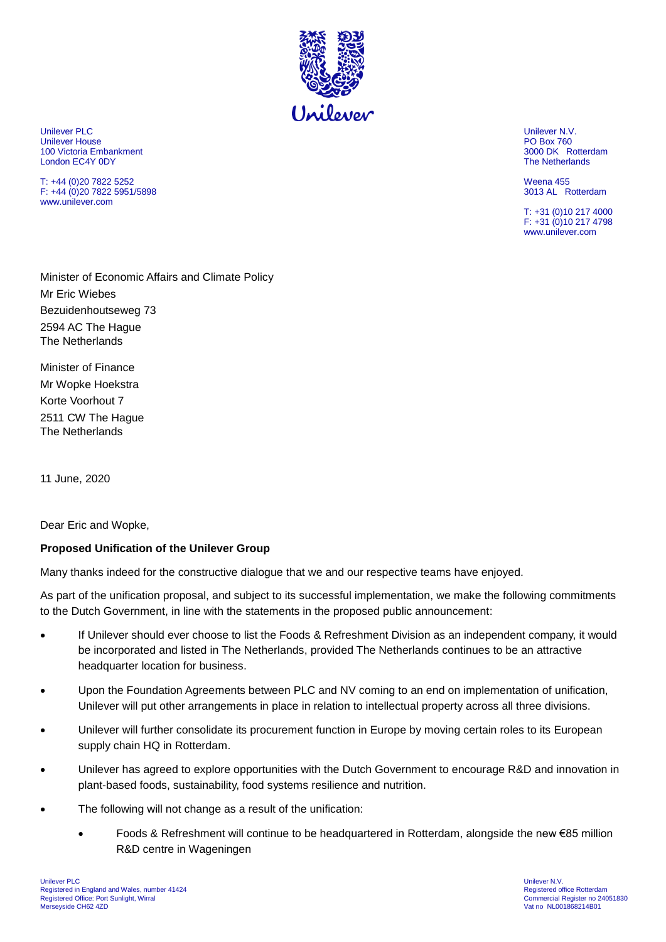

Unilever PLC Unilever N.V. Unilever House PO Box 760 100 Victoria Embankment 3000 DK Rotterdam London EC4Y 0DY

T: +44 (0)20 7822 5252 Weena 455  $F: +44(0)2078225951/5898$ www.unilever.com

T: +31 (0)10 217 4000 F: +31 (0)10 217 4798 www.unilever.com

Minister of Economic Affairs and Climate Policy Mr Eric Wiebes Bezuidenhoutseweg 73 2594 AC The Hague The Netherlands

Minister of Finance Mr Wopke Hoekstra Korte Voorhout 7 2511 CW The Hague The Netherlands

11 June, 2020

Dear Eric and Wopke,

## **Proposed Unification of the Unilever Group**

Many thanks indeed for the constructive dialogue that we and our respective teams have enjoyed.

As part of the unification proposal, and subject to its successful implementation, we make the following commitments to the Dutch Government, in line with the statements in the proposed public announcement:

- If Unilever should ever choose to list the Foods & Refreshment Division as an independent company, it would be incorporated and listed in The Netherlands, provided The Netherlands continues to be an attractive headquarter location for business.
- Upon the Foundation Agreements between PLC and NV coming to an end on implementation of unification, Unilever will put other arrangements in place in relation to intellectual property across all three divisions.
- Unilever will further consolidate its procurement function in Europe by moving certain roles to its European supply chain HQ in Rotterdam.
- Unilever has agreed to explore opportunities with the Dutch Government to encourage R&D and innovation in plant-based foods, sustainability, food systems resilience and nutrition.
- The following will not change as a result of the unification:
	- Foods & Refreshment will continue to be headquartered in Rotterdam, alongside the new €85 million R&D centre in Wageningen